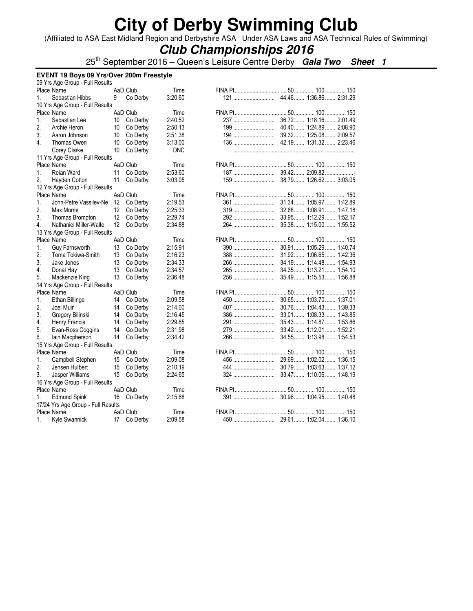(Affiliated to ASA East Midland Region and Derbyshire ASA Under ASA Laws and ASA Technical Rules of Swimming)

## **Club Championships 2016**

25th September 2016 – Queen's Leisure Centre Derby **Gala Two Sheet 1**

|    | EVENT 19 Boys 09 Yrs/Over 200m Freestyle |                   |                        |  |     |                         |  |  |  |
|----|------------------------------------------|-------------------|------------------------|--|-----|-------------------------|--|--|--|
|    | 09 Yrs Age Group - Full Results          |                   |                        |  |     |                         |  |  |  |
|    | Place Name                               | AaD Club          | Time                   |  |     |                         |  |  |  |
| 1. | Sebastian Hibbs                          | 9                 | Co Derby<br>3:20.60    |  |     |                         |  |  |  |
|    | 10 Yrs Age Group - Full Results          |                   |                        |  |     |                         |  |  |  |
|    | Place Name                               | AaD Club          | Time                   |  |     |                         |  |  |  |
| 1. | Sebastian Lee                            | 10                | 2:40.52<br>Co Derby    |  |     |                         |  |  |  |
| 2. | Archie Heron                             | 10                | Co Derby<br>2:50.13    |  | 199 | 40.40 1:24.89 2:08.90   |  |  |  |
| 3. | Aaron Johnson                            | 10                | 2:51.38<br>Co Derby    |  |     | 39.32 1:25.08 2:09.57   |  |  |  |
| 4. | Thomas Owen                              | 10                | 3:13.00<br>Co Derby    |  |     |                         |  |  |  |
|    | Corey Clarke                             | 10                | Co Derby<br><b>DNC</b> |  |     |                         |  |  |  |
|    | 11 Yrs Age Group - Full Results          |                   |                        |  |     |                         |  |  |  |
|    | Place Name                               | AaD Club          | Time                   |  |     |                         |  |  |  |
| 1. | Reian Ward                               | 11                | 2:53.60<br>Co Derby    |  |     |                         |  |  |  |
| 2. | Hayden Cotton                            | 11                | Co Derby<br>3:03.05    |  | 159 | 38.79 1:26.62 3:03.05   |  |  |  |
|    | 12 Yrs Age Group - Full Results          |                   |                        |  |     |                         |  |  |  |
|    | Place Name                               | AaD Club          | Time                   |  |     |                         |  |  |  |
| 1. | John-Petre Vassilev-Ne                   | 12                | 2:19.53<br>Co Derby    |  | 361 | 31.34 1:05.97 1:42.89   |  |  |  |
| 2. | Max Morris                               | $12 \overline{ }$ | Co Derby<br>2:25.33    |  | 319 | 32.68 1:08.91 1:47.18   |  |  |  |
| 3. | Thomas Brompton                          | 12                | Co Derby<br>2:29.74    |  | 292 | 33.95 1:12.29 1:52.17   |  |  |  |
| 4. | Nathaniel Miller-Walte                   | 12                | Co Derby<br>2:34.88    |  | 264 | 35.38 1:15.00 1:55.52   |  |  |  |
|    | 13 Yrs Age Group - Full Results          |                   |                        |  |     |                         |  |  |  |
|    | Place Name                               | AaD Club          | Time                   |  |     |                         |  |  |  |
| 1. | <b>Guy Farnsworth</b>                    | 13                | 2:15.91<br>Co Derby    |  | 390 | 30.91 1:05.29 1:40.74   |  |  |  |
| 2. | Toma Tokiwa-Smith                        | 13                | Co Derby<br>2:16.23    |  | 388 | 31.92 1:06.65 1:42.36   |  |  |  |
| 3. | Jake Jones                               | 13                | Co Derby<br>2:34.33    |  | 266 | 34.19 1:14.48 1:54.93   |  |  |  |
| 4. | Donal Hay                                | 13                | 2:34.57<br>Co Derby    |  |     | 34.35 1:13.21 1:54.10   |  |  |  |
| 5. | Mackenzie King                           | 13                | 2:36.48<br>Co Derby    |  | 256 | 35.49 1:15.53 1:56.88   |  |  |  |
|    | 14 Yrs Age Group - Full Results          |                   |                        |  |     |                         |  |  |  |
|    | Place Name                               | AaD Club          | Time                   |  |     |                         |  |  |  |
| 1. |                                          |                   | 2:09.58                |  | 450 | 30.65 1:03.70 1:37.01   |  |  |  |
|    | Ethan Billinge                           | 14                | Co Derby               |  |     |                         |  |  |  |
| 2. | Joel Muir                                | 14                | Co Derby<br>2:14.00    |  | 407 | 30.76 1:04.43 1:39.33   |  |  |  |
| 3. | Gregory Bilinski                         | 14                | Co Derby<br>2:16.45    |  | 386 | 33.01 1:08.33 1:43.85   |  |  |  |
| 4. | Henry Francis                            | 14                | 2:29.85<br>Co Derby    |  | 291 | 35.43 1:14.87 1:53.86   |  |  |  |
| 5. | Evan-Ross Coggins                        | 14                | Co Derby<br>2:31.98    |  |     | 33.42 1:12.01 1:52.21   |  |  |  |
| 6. | lain Macpherson                          | 14                | Co Derby<br>2:34.42    |  | 266 | 34.55 1:13.98 1:54.53   |  |  |  |
|    | 15 Yrs Age Group - Full Results          |                   |                        |  |     |                         |  |  |  |
|    | Place Name                               | AaD Club          | Time                   |  |     |                         |  |  |  |
| 1. | Campbell Stephen                         | 15                | 2:09.08<br>Co Derby    |  | 456 | 29.69 1:02.02 1:36.15   |  |  |  |
| 2. | Jensen Hulbert                           | 15                | 2:10.19<br>Co Derby    |  | 444 | 30.79 1:03.63 1:37.12   |  |  |  |
| 3. | Jasper Williams                          | 15                | 2:24.65<br>Co Derby    |  | 324 | 33.47  1:10.06  1:48.19 |  |  |  |
|    | 16 Yrs Age Group - Full Results          |                   |                        |  |     |                         |  |  |  |
|    | Place Name                               | AaD Club          | Time                   |  |     |                         |  |  |  |
| 1. | <b>Edmund Spink</b>                      | 16 Co Derby       | 2:15.88                |  | 391 | 30.96 1:04.95 1:40.48   |  |  |  |
|    | 17/24 Yrs Age Group - Full Results       |                   |                        |  |     |                         |  |  |  |
|    | Place Name                               | AaD Club          | Time                   |  |     |                         |  |  |  |
| 1. | Kyle Swannick                            | 17 Co Derby       | 2:09.58                |  |     |                         |  |  |  |
|    |                                          |                   |                        |  |     |                         |  |  |  |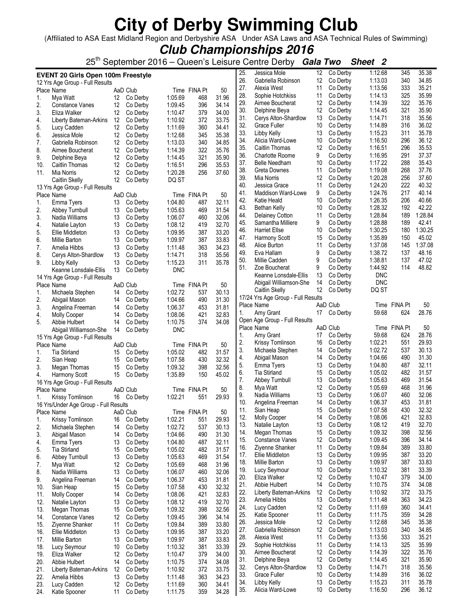(Affiliated to ASA East Midland Region and Derbyshire ASA Under ASA Laws and ASA Technical Rules of Swimming)

**Club Championships 2016**

25th September 2016 – Queen's Leisure Centre Derby **Gala Two Sheet 2**

|            | <b>EVENT 20 Girls Open 100m Freestyle</b>     |          |                      |                    |              |                | 25.        | Jessica Mole                              | 12       | Co Derby             | 1:12.68            | 345          | 35.38            |
|------------|-----------------------------------------------|----------|----------------------|--------------------|--------------|----------------|------------|-------------------------------------------|----------|----------------------|--------------------|--------------|------------------|
|            | 12 Yrs Age Group - Full Results               |          |                      |                    |              |                | 26.        | Gabriella Robinson                        | 12       | Co Derby             | 1:13.03            | 340          | 34.85            |
|            | Place Name                                    |          | AaD Club             |                    | Time FINA Pt | 50             | 27.<br>28. | Alexia West                               | 11<br>11 | Co Derby             | 1:13.56<br>1:14.13 | 333<br>325   | 35.21<br>35.99   |
| 1.         | Mya Watt                                      | 12       | Co Derby             | 1:05.69            | 468          | 31.96          | 29.        | Sophie Hotchkiss<br>Aimee Boucherat       | 12       | Co Derby<br>Co Derby | 1:14.39            | 322          | 35.76            |
| 2.         | Constance Vanes                               | 12       | Co Derby             | 1:09.45            | 396          | 34.14          | 30.        | Delphine Beya                             | 12       | Co Derby             | 1:14.45            | 321          | 35.90            |
| 3.         | Eliza Walker                                  | 12       | Co Derby             | 1:10.47            | 379          | 34.00          | 31.        | Cerys Alton-Shardlow                      | 13       | Co Derby             | 1:14.71            | 318          | 35.56            |
| 4.         | Liberty Bateman-Arkins                        | 12       | Co Derby             | 1:10.92            | 372          | 33.75          | 32.        | Grace Fuller                              | 10       | Co Derby             | 1:14.89            | 316          | 36.02            |
| 5.<br>6.   | Lucy Cadden<br>Jessica Mole                   | 12<br>12 | Co Derby<br>Co Derby | 1:11.69<br>1:12.68 | 360<br>345   | 34.41<br>35.38 | 33.        | Libby Kelly                               | 13       | Co Derby             | 1:15.23            | 311          | 35.78            |
| 7.         | Gabriella Robinson                            | 12       | Co Derby             | 1:13.03            | 340          | 34.85          | 34.        | Alicia Ward-Lowe                          | 10       | Co Derby             | 1:16.50            | 296          | 36.12            |
| 8.         | Aimee Boucherat                               | 12       | Co Derby             | 1:14.39            | 322          | 35.76          | 35.        | Caitlin Thomas                            | 12       | Co Derby             | 1:16.51            | 296          | 35.53            |
| 9.         | Delphine Beya                                 | 12       | Co Derby             | 1:14.45            | 321          | 35.90          | 36.        | <b>Charlotte Roome</b>                    | 9        | Co Derby             | 1:16.95            | 291          | 37.37            |
| 10.        | Caitlin Thomas                                | 12       | Co Derby             | 1:16.51            | 296          | 35.53          | 37.        | <b>Belle Needham</b>                      | 10       | Co Derby             | 1:17.22            | 288          | 35.43            |
| 11.        | Mia Norris                                    | 12       | Co Derby             | 1:20.28            | 256          | 37.60          | 38.        | Greta Downes                              | 11       | Co Derby             | 1:19.08            | 268          | 37.76            |
|            | Caitlin Skelly                                | 12       | Co Derby             | DQ ST              |              |                | 39.        | Mia Norris                                | 12       | Co Derby             | 1:20.28            | 256          | 37.60            |
|            | 13 Yrs Age Group - Full Results               |          |                      |                    |              |                | 40.        | Jessica Grace                             | 11       | Co Derby             | 1:24.20            | 222          | 40.32            |
|            | Place Name                                    |          | AaD Club             |                    | Time FINA Pt | 50             | 41.        | Maddison Ward-Lowe                        | 9        | Co Derby             | 1:24.76            | 217          | 40.14            |
| 1.         | Emma Tyers                                    | 13       | Co Derby             | 1:04.80            | 487          | 32.11          | 42.        | Katie Heald                               | 10       | Co Derby             | 1:26.35            | 206          | 40.66            |
| 2.         | Abbey Turnbull                                | 13       | Co Derby             | 1:05.63            | 469          | 31.54          | 43.        | Bethan Kelly                              | 10       | Co Derby             | 1:28.32            | 192          | 42.22<br>1:28.84 |
| 3.         | Nadia Williams                                | 13       | Co Derby             | 1:06.07            | 460          | 32.06          | 44.<br>45. | <b>Delainey Cotton</b>                    | 11<br>9  | Co Derby<br>Co Derby | 1:28.84<br>1:28.88 | 189<br>189   | 42.41            |
| 4.         | Natalie Layton                                | 13       | Co Derby             | 1:08.12            | 419          | 32.70          | 46.        | Samantha Milliere<br><b>Harriet Ellse</b> | 10       | Co Derby             | 1:30.25            | 180          | 1:30.25          |
| 5.         | Ellie Middleton                               | 13       | Co Derby             | 1:09.95            | 387          | 33.20          | 47.        | Harmony Scott                             | 15       | Co Derby             | 1:35.89            | 150          | 45.02            |
| 6.         | <b>Millie Barton</b>                          | 13       | Co Derby             | 1:09.97            | 387          | 33.83          | 48.        | Alice Burton                              | 11       | Co Derby             | 1:37.08            | 145          | 1:37.08          |
| 7.         | Amelia Hibbs                                  | 13       | Co Derby             | 1:11.48            | 363          | 34.23          | 49.        | Eva Hallam                                | 9        | Co Derby             | 1:38.72            | 137          | 48.16            |
| 8.<br>9.   | Cerys Alton-Shardlow                          | 13       | Co Derby<br>Co Derby | 1:14.71<br>1:15.23 | 318<br>311   | 35.56<br>35.78 | 50.        | Millie Cadden                             | 9        | Co Derby             | 1:38.81            | 137          | 47.02            |
|            | Libby Kelly<br>Keanne Lonsdale-Ellis          | 13<br>13 | Co Derby             | <b>DNC</b>         |              |                | 51.        | Zoe Boucherat                             | 9        | Co Derby             | 1:44.92            | 114          | 48.82            |
|            | 14 Yrs Age Group - Full Results               |          |                      |                    |              |                |            | Keanne Lonsdale-Ellis                     | 13       | Co Derby             | <b>DNC</b>         |              |                  |
|            | Place Name                                    |          | AaD Club             |                    | Time FINA Pt | 50             |            | Abigail Williamson-She                    | 14       | Co Derby             | <b>DNC</b>         |              |                  |
| 1.         | Michaela Stephen                              | 14       | Co Derby             | 1:02.72            | 537          | 30.13          |            | Caitlin Skelly                            | 12       | Co Derby             | DQ ST              |              |                  |
| 2.         | Abigail Mason                                 | 14       | Co Derby             | 1:04.66            | 490          | 31.30          |            | 17/24 Yrs Age Group - Full Results        |          |                      |                    |              |                  |
| 3.         | Angelina Freeman                              | 14       | Co Derby             | 1:06.37            | 453          | 31.81          |            | Place Name                                |          | AaD Club             |                    | Time FINA Pt | 50               |
| 4.         | <b>Molly Cooper</b>                           | 14       | Co Derby             | 1:08.06            | 421          | 32.83          | 1.         | Amy Grant                                 | 17       | Co Derby             | 59.68              | 624          | 28.76            |
| 5.         | Abbie Hulbert                                 | 14       | Co Derby             | 1:10.75            | 374          | 34.08          |            | Open Age Group - Full Results             |          |                      |                    |              |                  |
|            | Abigail Williamson-She                        | 14       | Co Derby             | <b>DNC</b>         |              |                |            | Place Name                                |          | AaD Club             |                    | Time FINA Pt | 50               |
|            | 15 Yrs Age Group - Full Results               |          |                      |                    |              |                | 1.         | Amy Grant                                 | 17       | Co Derby             | 59.68              | 624          | 28.76            |
|            | Place Name                                    |          | AaD Club             |                    | Time FINA Pt | 50             | 2.<br>3.   | Krissy Tomlinson                          | 16       | Co Derby             | 1:02.21<br>1:02.72 | 551<br>537   | 29.93<br>30.13   |
| 1.         | <b>Tia Stirland</b>                           | 15       | Co Derby             | 1:05.02            | 482          | 31.57          | 4.         | Michaela Stephen<br>Abigail Mason         | 14<br>14 | Co Derby<br>Co Derby | 1:04.66            | 490          | 31.30            |
| 2.         | Sian Heap                                     | 15       | Co Derby             | 1:07.58            | 430          | 32.32          | 5.         | Emma Tyers                                | 13       | Co Derby             | 1:04.80            | 487          | 32.11            |
| 3.         | Megan Thomas                                  | 15       | Co Derby             | 1:09.32            | 398          | 32.56          | 6.         | <b>Tia Stirland</b>                       | 15       | Co Derby             | 1:05.02            | 482          | 31.57            |
| 4.         | Harmony Scott                                 | 15       | Co Derby             | 1:35.89            | 150          | 45.02          | 7.         | Abbey Turnbull                            | 13       | Co Derby             | 1:05.63            | 469          | 31.54            |
|            | 16 Yrs Age Group - Full Results<br>Place Name |          | AaD Club             |                    | Time FINA Pt | 50             | 8.         | Mya Watt                                  | 12       | Co Derby             | 1:05.69            | 468          | 31.96            |
| 1.         | Krissy Tomlinson                              | 16       | Co Derby             | 1:02.21            | 551          | 29.93          | 9.         | Nadia Williams                            | 13       | Co Derby             | 1:06.07            | 460          | 32.06            |
|            | 16 Yrs/Under Age Group - Full Results         |          |                      |                    |              |                | 10.        | Angelina Freeman                          | 14       | Co Derby             | 1:06.37            | 453          | 31.81            |
|            | Place Name                                    |          | AaD Club             |                    | Time FINA Pt | 50             | 11.        | Sian Heap                                 | 15       | Co Derby             | 1:07.58            | 430          | 32.32            |
| 1.         | Krissy Tomlinson                              | 16       | Co Derby             | 1:02.21            | 551          | 29.93          | 12.        | Molly Cooper                              | 14       | Co Derby             | 1:08.06            | 421          | 32.83            |
| 2.         | Michaela Stephen                              | 14       | Co Derby             | 1:02.72            | 537          | 30.13          | 13.        | Natalie Layton                            | 13       | Co Derby             | 1:08.12            | 419          | 32.70            |
| 3.         | Abigail Mason                                 | 14       | Co Derby             | 1:04.66            | 490          | 31.30          | 14.        | Megan Thomas                              | 15       | Co Derby             | 1:09.32            | 398          | 32.56            |
| 4.         | Emma Tyers                                    | 13       | Co Derby             | 1:04.80            | 487          | 32.11          | 15.        | <b>Constance Vanes</b>                    | 12       | Co Derby             | 1:09.45            | 396          | 34.14            |
| 5.         | <b>Tia Stirland</b>                           | 15       | Co Derby             | 1:05.02            | 482          | 31.57          | 16.        | Ziyenne Shanker                           | 11       | Co Derby             | 1:09.84            | 389          | 33.80            |
| 6.         | Abbey Turnbull                                | 13       | Co Derby             | 1:05.63            | 469          | 31.54          | 17.        | Ellie Middleton                           | 13       | Co Derby             | 1:09.95            | 387          | 33.20<br>33.83   |
| 7.         | Mya Watt                                      | 12       | Co Derby             | 1:05.69            | 468          | 31.96          | 18.<br>19. | Millie Barton<br>Lucy Seymour             | 13<br>10 | Co Derby<br>Co Derby | 1:09.97<br>1:10.32 | 387<br>381   | 33.39            |
| 8.         | Nadia Williams                                | 13       | Co Derby             | 1:06.07            | 460          | 32.06          | 20.        | Eliza Walker                              | 12       | Co Derby             | 1:10.47            | 379          | 34.00            |
| 9.         | Angelina Freeman                              | 14       | Co Derby             | 1:06.37            | 453          | 31.81          | 21.        | Abbie Hulbert                             | 14       | Co Derby             | 1:10.75            | 374          | 34.08            |
| 10.        | Sian Heap                                     | 15       | Co Derby             | 1:07.58            | 430          | 32.32          | 22.        | Liberty Bateman-Arkins                    | 12       | Co Derby             | 1:10.92            | 372          | 33.75            |
| 11.        | Molly Cooper                                  | 14       | Co Derby             | 1:08.06            | 421          | 32.83          | 23.        | Amelia Hibbs                              | 13       | Co Derby             | 1:11.48            | 363          | 34.23            |
| 12.        | Natalie Layton                                | 13       | Co Derby             | 1:08.12            | 419          | 32.70          | 24.        | Lucy Cadden                               | 12       | Co Derby             | 1:11.69            | 360          | 34.41            |
| 13.        | Megan Thomas                                  | 15       | Co Derby             | 1:09.32            | 398          | 32.56          | 25.        | Katie Spooner                             | 11       | Co Derby             | 1:11.75            | 359          | 34.28            |
| 14.<br>15. | <b>Constance Vanes</b><br>Ziyenne Shanker     | 12<br>11 | Co Derby<br>Co Derby | 1:09.45<br>1:09.84 | 396<br>389   | 34.14<br>33.80 | 26.        | Jessica Mole                              | 12       | Co Derby             | 1:12.68            | 345          | 35.38            |
| 16.        | Ellie Middleton                               | 13       | Co Derby             | 1:09.95            | 387          | 33.20          | 27.        | Gabriella Robinson                        | 12       | Co Derby             | 1:13.03            | 340          | 34.85            |
| 17.        | Millie Barton                                 | 13       | Co Derby             | 1:09.97            | 387          | 33.83          | 28.        | Alexia West                               | 11       | Co Derby             | 1:13.56            | 333          | 35.21            |
| 18.        | Lucy Seymour                                  | 10       | Co Derby             | 1:10.32            | 381          | 33.39          | 29.        | Sophie Hotchkiss                          | 11       | Co Derby             | 1:14.13            | 325          | 35.99            |
| 19.        | Eliza Walker                                  | 12       | Co Derby             | 1:10.47            | 379          | 34.00          | 30.        | Aimee Boucherat                           | 12       | Co Derby             | 1:14.39            | 322          | 35.76            |
| 20.        | Abbie Hulbert                                 | 14       | Co Derby             | 1:10.75            | 374          | 34.08          | 31.        | Delphine Beya                             | 12       | Co Derby             | 1:14.45            | 321          | 35.90            |
| 21.        | Liberty Bateman-Arkins                        | 12       | Co Derby             | 1:10.92            | 372          | 33.75          | 32.        | Cerys Alton-Shardlow                      | 13       | Co Derby             | 1:14.71            | 318          | 35.56            |
| 22.        | Amelia Hibbs                                  | 13       | Co Derby             | 1:11.48            | 363          | 34.23          | 33.        | <b>Grace Fuller</b>                       | 10       | Co Derby             | 1:14.89            | 316          | 36.02            |
| 23.        | Lucy Cadden                                   | 12       | Co Derby             | 1:11.69            | 360          | 34.41          | 34.        | Libby Kelly                               | 13       | Co Derby             | 1:15.23            | 311          | 35.78            |
| 24.        | Katie Spooner                                 | 11       | Co Derby             | 1:11.75            | 359          | 34.28          | 35.        | Alicia Ward-Lowe                          | 10       | Co Derby             | 1:16.50            | 296          | 36.12            |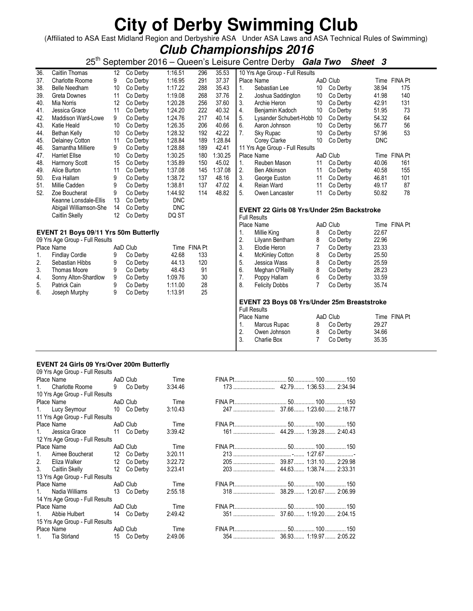(Affiliated to ASA East Midland Region and Derbyshire ASA Under ASA Laws and ASA Technical Rules of Swimming)

**Club Championships 2016**

25th September 2016 – Queen's Leisure Centre Derby **Gala Two Sheet 3**

| 36. | Caitlin Thomas                        | 12 | Co Derby | 1:16.51    | 296          | 35.53   |                | 10 Yrs Age Group - Full Results                   |                |          |            |              |
|-----|---------------------------------------|----|----------|------------|--------------|---------|----------------|---------------------------------------------------|----------------|----------|------------|--------------|
| 37. | <b>Charlotte Roome</b>                | 9  | Co Derby | 1:16.95    | 291          | 37.37   |                | Place Name                                        |                | AaD Club |            | Time FINA Pt |
| 38. | <b>Belle Needham</b>                  | 10 | Co Derby | 1:17.22    | 288          | 35.43   | 1.             | Sebastian Lee                                     | 10             | Co Derby | 38.94      | 175          |
| 39. | Greta Downes                          | 11 | Co Derby | 1:19.08    | 268          | 37.76   | 2.             | Joshua Saddington                                 | 10             | Co Derby | 41.98      | 140          |
| 40. | Mia Norris                            | 12 | Co Derby | 1:20.28    | 256          | 37.60   | 3.             | Archie Heron                                      | 10             | Co Derby | 42.91      | 131          |
| 41. | Jessica Grace                         | 11 | Co Derby | 1:24.20    | 222          | 40.32   | 4.             | Benjamin Kadoch                                   | 10             | Co Derby | 51.95      | 73           |
| 42. | Maddison Ward-Lowe                    | 9  | Co Derby | 1:24.76    | 217          | 40.14   | 5.             | Lysander Schubert-Hobb 10                         |                | Co Derby | 54.32      | 64           |
| 43. | Katie Heald                           | 10 | Co Derby | 1:26.35    | 206          | 40.66   | 6.             | Aaron Johnson                                     | 10             | Co Derby | 56.77      | 56           |
| 44. | Bethan Kelly                          | 10 | Co Derby | 1:28.32    | 192          | 42.22   | 7.             | Sky Rupac                                         | 10             | Co Derby | 57.96      | 53           |
| 45. | Delainey Cotton                       | 11 | Co Derby | 1:28.84    | 189          | 1:28.84 |                | Corey Clarke                                      | 10             | Co Derby | <b>DNC</b> |              |
| 46. | Samantha Milliere                     | 9  | Co Derby | 1:28.88    | 189          | 42.41   |                | 11 Yrs Age Group - Full Results                   |                |          |            |              |
| 47. | <b>Harriet Ellse</b>                  | 10 | Co Derby | 1:30.25    | 180          | 1:30.25 |                | Place Name                                        |                | AaD Club |            | Time FINA Pt |
| 48. | Harmony Scott                         | 15 | Co Derby | 1:35.89    | 150          | 45.02   | 1 <sub>1</sub> | Reuben Mason                                      | 11             | Co Derby | 40.06      | 161          |
| 49. | Alice Burton                          | 11 | Co Derby | 1:37.08    | 145          | 1:37.08 | 2.             | Ben Atkinson                                      | 11             | Co Derby | 40.58      | 155          |
| 50. | Eva Hallam                            | 9  | Co Derby | 1:38.72    | 137          | 48.16   | 3.             | George Euston                                     | 11             | Co Derby | 46.81      | 101          |
| 51. | Millie Cadden                         | 9  | Co Derby | 1:38.81    | 137          | 47.02   | 4.             | Reian Ward                                        | 11             | Co Derby | 49.17      | 87           |
| 52. | Zoe Boucherat                         | 9  | Co Derby | 1:44.92    | 114          | 48.82   | 5.             | Owen Lancaster                                    | 11             | Co Derby | 50.82      | 78           |
|     | Keanne Lonsdale-Ellis                 | 13 | Co Derby | <b>DNC</b> |              |         |                |                                                   |                |          |            |              |
|     | Abigail Williamson-She                | 14 | Co Derby | <b>DNC</b> |              |         |                | <b>EVENT 22 Girls 08 Yrs/Under 25m Backstroke</b> |                |          |            |              |
|     | Caitlin Skelly                        | 12 | Co Derby | DQ ST      |              |         |                | <b>Full Results</b>                               |                |          |            |              |
|     |                                       |    |          |            |              |         |                | Place Name                                        |                | AaD Club |            | Time FINA Pt |
|     | EVENT 21 Boys 09/11 Yrs 50m Butterfly |    |          |            |              |         | $\mathbf{1}$ . | Millie King                                       | 8              | Co Derby | 22.67      |              |
|     | 09 Yrs Age Group - Full Results       |    |          |            |              |         | 2.             | Lilyann Bentham                                   | 8              | Co Derby | 22.96      |              |
|     | Place Name                            |    | AaD Club |            | Time FINA Pt |         | 3.             | Elodie Heron                                      | 7              | Co Derby | 23.33      |              |
| 1.  | <b>Findlay Cordle</b>                 | 9  | Co Derby | 42.68      | 133          |         | 4.             | <b>McKinley Cotton</b>                            | 8              | Co Derby | 25.50      |              |
| 2.  | Sebastian Hibbs                       | 9  | Co Derby | 44.13      | 120          |         | 5.             | Jessica Wass                                      | 8              | Co Derby | 25.59      |              |
| 3.  | <b>Thomas Moore</b>                   | 9  | Co Derby | 48.43      | 91           |         | 6.             | Meghan O'Reilly                                   | 8              | Co Derby | 28.23      |              |
| 4.  | Sonny Alton-Shardlow                  | 9  | Co Derby | 1:09.76    | 30           |         | 7.             | Poppy Hallam                                      | 6              | Co Derby | 33.59      |              |
| 5.  | Patrick Cain                          | 9  | Co Derby | 1:11.00    | 28           |         | 8.             | <b>Felicity Dobbs</b>                             | $\overline{7}$ | Co Derby | 35.74      |              |
| 6.  | Joseph Murphy                         | 9  | Co Derby | 1:13.91    | 25           |         |                |                                                   |                |          |            |              |
|     |                                       |    |          |            |              |         |                |                                                   |                |          |            |              |
|     |                                       |    |          |            |              |         |                | EVENT 23 Boys 08 Yrs/Under 25m Breaststroke       |                |          |            |              |
|     |                                       |    |          |            |              |         |                | <b>Full Results</b>                               |                |          |            |              |
|     |                                       |    |          |            |              |         |                | Place Name                                        |                | AaD Club |            | Time FINA Pt |
|     |                                       |    |          |            |              |         | 1.             | Marcus Rupac                                      | 8              | Co Derby | 29.27      |              |
|     |                                       |    |          |            |              |         | 2.             | Owen Johnson                                      | 8              | Co Derby | 34.66      |              |
|     |                                       |    |          |            |              |         | 3.             | <b>Charlie Box</b>                                | $\overline{7}$ | Co Derby | 35.35      |              |

### **EVENT 24 Girls 09 Yrs/Over 200m Butterfly**  09 Yrs Age Group - Full Results

|         | Place Name                      |   | AaD Club    | Time    |  |  |
|---------|---------------------------------|---|-------------|---------|--|--|
| 1       | Charlotte Roome                 | 9 | Co Derby    | 3:34.46 |  |  |
|         | 10 Yrs Age Group - Full Results |   |             |         |  |  |
|         | Place Name                      |   | AaD Club    | Time    |  |  |
|         | 1. Lucy Seymour                 |   | 10 Co Derby | 3:10.43 |  |  |
|         | 11 Yrs Age Group - Full Results |   |             |         |  |  |
|         | Place Name                      |   | AaD Club    | Time    |  |  |
| $1_{-}$ | Jessica Grace                   |   | 11 Co Derby | 3:39.42 |  |  |
|         | 12 Yrs Age Group - Full Results |   |             |         |  |  |
|         | Place Name                      |   | AaD Club    | Time    |  |  |
| 1.      | Aimee Boucherat                 |   | 12 Co Derby | 3:20.11 |  |  |
| 2.      | Eliza Walker                    |   | 12 Co Derby | 3:22.72 |  |  |
| 3.      | Caitlin Skelly                  |   | 12 Co Derby | 3:23.41 |  |  |
|         | 13 Yrs Age Group - Full Results |   |             |         |  |  |
|         | Place Name                      |   | AaD Club    | Time    |  |  |
| 1       | Nadia Williams                  |   | 13 Co Derby | 2:55.18 |  |  |
|         | 14 Yrs Age Group - Full Results |   |             |         |  |  |
|         | Place Name                      |   | AaD Club    | Time    |  |  |
| 1.      | Abbie Hulbert                   |   | 14 Co Derby | 2:49.42 |  |  |
|         | 15 Yrs Age Group - Full Results |   |             |         |  |  |
|         | Place Name                      |   | AaD Club    | Time    |  |  |
| 1.      | Tia Stirland                    |   | 15 Co Derby | 2:49.06 |  |  |
|         |                                 |   |             |         |  |  |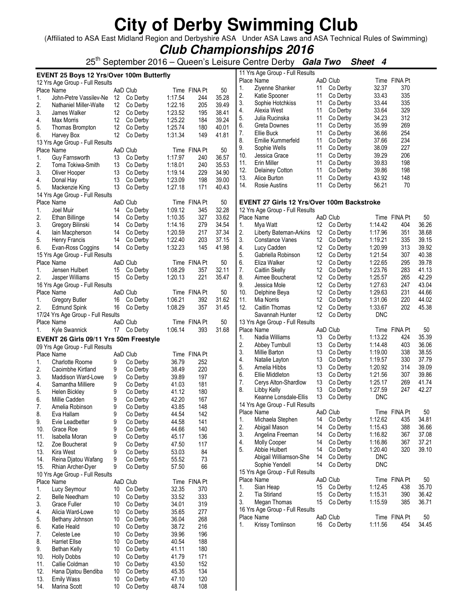(Affiliated to ASA East Midland Region and Derbyshire ASA Under ASA Laws and ASA Technical Rules of Swimming)

**Club Championships 2016**

25th September 2016 – Queen's Leisure Centre Derby **Gala Two Sheet 4**

|     | EVENT 25 Boys 12 Yrs/Over 100m Butterfly |    |             |                |              |       | 11 Yrs Age Group - Full Results |                                            |    |             |            |              |       |
|-----|------------------------------------------|----|-------------|----------------|--------------|-------|---------------------------------|--------------------------------------------|----|-------------|------------|--------------|-------|
|     |                                          |    |             |                |              |       |                                 | Place Name                                 |    | AaD Club    |            | Time FINA Pt |       |
|     | 12 Yrs Age Group - Full Results          |    |             |                |              |       | 1.                              | Ziyenne Shanker                            | 11 | Co Derby    | 32.37      | 370          |       |
|     | Place Name                               |    | AaD Club    |                | Time FINA Pt | 50    | 2.                              | Katie Spooner                              | 11 | Co Derby    | 33.43      | 335          |       |
| 1.  | John-Petre Vassilev-Ne 12 Co Derby       |    |             | 1:17.54        | 244          | 35.28 | 3.                              | Sophie Hotchkiss                           | 11 | Co Derby    | 33.44      | 335          |       |
| 2.  | Nathaniel Miller-Walte                   | 12 | Co Derby    | 1:22.16        | 205          | 39.49 | 4.                              | Alexia West                                | 11 | Co Derby    | 33.64      | 329          |       |
| 3.  | James Walker                             | 12 | Co Derby    | 1:23.52        | 195          | 38.41 | 5.                              | Julia Rucinska                             | 11 | Co Derby    | 34.23      | 312          |       |
| 4.  | Max Morris                               | 12 | Co Derby    | 1:25.22        | 184          | 39.24 | 6.                              | Greta Downes                               | 11 | Co Derby    | 35.99      | 269          |       |
| 5.  | Thomas Brompton                          | 12 | Co Derby    | 1:25.74        | 180          | 40.01 | 7.                              | Ellie Buck                                 | 11 | Co Derby    | 36.66      | 254          |       |
| 6.  | Harvey Box                               |    | 12 Co Derby | 1:31.34        | 149          | 41.81 | 8.                              | Emilie Kummerfeld                          | 11 | Co Derby    | 37.66      | 234          |       |
|     | 13 Yrs Age Group - Full Results          |    |             |                |              |       | 9.                              | Sophie Wells                               | 11 | Co Derby    | 38.09      | 227          |       |
|     | Place Name                               |    | AaD Club    |                | Time FINA Pt | 50    | 10.                             | Jessica Grace                              | 11 | Co Derby    | 39.29      | 206          |       |
| 1.  | Guy Farnsworth                           | 13 | Co Derby    | 1:17.97        | 240          | 36.57 | 11.                             | Erin Miller                                | 11 | Co Derby    | 39.83      | 198          |       |
| 2.  | Toma Tokiwa-Smith                        | 13 | Co Derby    | 1:18.01        | 240          | 35.53 | 12.                             | Delainey Cotton                            | 11 | Co Derby    | 39.86      | 198          |       |
| 3.  | Oliver Hooper                            | 13 | Co Derby    | 1:19.14        | 229          | 34.90 | 13.                             | Alice Burton                               | 11 | Co Derby    | 43.92      | 148          |       |
| 4.  | Donal Hay                                | 13 | Co Derby    | 1:23.09        | 198          | 39.00 | 14.                             | Rosie Austins                              | 11 | Co Derby    | 56.21      | 70           |       |
| 5.  | Mackenzie King                           | 13 | Co Derby    | 1:27.18        | 171          | 40.43 |                                 |                                            |    |             |            |              |       |
|     | 14 Yrs Age Group - Full Results          |    |             |                |              |       |                                 |                                            |    |             |            |              |       |
|     | Place Name                               |    | AaD Club    |                | Time FINA Pt | 50    |                                 | EVENT 27 Girls 12 Yrs/Over 100m Backstroke |    |             |            |              |       |
| 1.  | Joel Muir                                | 14 | Co Derby    | 1:09.12        | 345          | 32.28 |                                 | 12 Yrs Age Group - Full Results            |    |             |            |              |       |
| 2.  | Ethan Billinge                           | 14 | Co Derby    | 1:10.35        | 327          | 33.62 |                                 | Place Name                                 |    | AaD Club    |            | Time FINA Pt | 50    |
| 3.  | Gregory Bilinski                         | 14 | Co Derby    | 1:14.16        | 279          | 34.54 | 1.                              | Mya Watt                                   |    | 12 Co Derby | 1:14.42    | 404          | 36.26 |
| 4.  | lain Macpherson                          | 14 | Co Derby    | 1:20.59        | 217          | 37.34 | 2.                              | Liberty Bateman-Arkins                     | 12 | Co Derby    | 1:17.96    | 351          | 38.68 |
| 5.  | Henry Francis                            | 14 | Co Derby    | 1:22.40        | 203          | 37.15 | 3.                              | Constance Vanes                            | 12 | Co Derby    | 1:19.21    | 335          | 39.15 |
| 6.  | Evan-Ross Coggins                        | 14 | Co Derby    | 1:32.23        | 145          | 41.98 | 4.                              | Lucy Cadden                                | 12 | Co Derby    | 1:20.99    | 313          | 39.92 |
|     | 15 Yrs Age Group - Full Results          |    |             |                |              |       | 5.                              | Gabriella Robinson                         | 12 | Co Derby    | 1:21.54    | 307          | 40.38 |
|     | Place Name                               |    | AaD Club    |                | Time FINA Pt | 50    | 6.                              | Eliza Walker                               | 12 | Co Derby    | 1:22.65    | 295          | 39.78 |
| 1.  | Jensen Hulbert                           | 15 | Co Derby    | 1:08.29        | 357          | 32.11 | 7.                              | Caitlin Skelly                             | 12 | Co Derby    | 1:23.76    | 283          | 41.13 |
| 2.  | Jasper Williams                          |    | 15 Co Derby | 1:20.13        | 221          | 35.47 | 8.                              | Aimee Boucherat                            | 12 | Co Derby    | 1:25.57    | 265          | 42.29 |
|     | 16 Yrs Age Group - Full Results          |    |             |                |              |       | 9.                              | Jessica Mole                               | 12 | Co Derby    | 1:27.63    | 247          | 43.04 |
|     | Place Name                               |    | AaD Club    |                | Time FINA Pt | 50    | 10.                             | Delphine Beya                              | 12 | Co Derby    | 1:29.63    | 231          | 44.66 |
| 1.  | Gregory Butler                           | 16 | Co Derby    | 1:06.21        | 392          | 31.62 | 11.                             | Mia Norris                                 | 12 | Co Derby    | 1:31.06    | 220          | 44.02 |
| 2.  | <b>Edmund Spink</b>                      | 16 | Co Derby    | 1:08.29        | 357          | 31.45 | 12.                             | Caitlin Thomas                             | 12 | Co Derby    | 1:33.67    | 202          | 45.38 |
|     | 17/24 Yrs Age Group - Full Results       |    |             |                |              |       |                                 | Savannah Hunter                            | 12 | Co Derby    | <b>DNC</b> |              |       |
|     | Place Name                               |    | AaD Club    |                | Time FINA Pt | 50    |                                 | 13 Yrs Age Group - Full Results            |    |             |            |              |       |
| 1.  | Kyle Swannick                            |    | 17 Co Derby | 1:06.14        | 393          | 31.68 |                                 | Place Name                                 |    | AaD Club    |            | Time FINA Pt | 50    |
|     | EVENT 26 Girls 09/11 Yrs 50m Freestyle   |    |             |                |              |       | 1.                              | Nadia Williams                             | 13 | Co Derby    | 1:13.22    | 424          | 35.39 |
|     | 09 Yrs Age Group - Full Results          |    |             |                |              |       | 2.                              | Abbey Turnbull                             | 13 | Co Derby    | 1:14.48    | 403          | 36.06 |
|     | Place Name                               |    | AaD Club    |                | Time FINA Pt |       | 3.                              | Millie Barton                              | 13 | Co Derby    | 1:19.00    | 338          | 38.55 |
| 1.  | <b>Charlotte Roome</b>                   | 9  | Co Derby    | 36.79          | 252          |       | 4.                              | Natalie Layton                             | 13 | Co Derby    | 1:19.57    | 330          | 37.79 |
| 2.  | Caoimbhe Kirtland                        | 9  | Co Derby    | 38.49          | 220          |       | 5.                              | Amelia Hibbs                               | 13 | Co Derby    | 1:20.92    | 314          | 39.09 |
| 3.  | Maddison Ward-Lowe                       | 9  | Co Derby    | 39.89          | 197          |       | 6.                              | Ellie Middleton                            | 13 | Co Derby    | 1:21.56    | 307          | 39.86 |
| 4.  | Samantha Milliere                        | 9  | Co Derby    | 41.03          | 181          |       | 7.                              | Cerys Alton-Shardlow                       | 13 | Co Derby    | 1:25.17    | 269          | 41.74 |
| 5.  | <b>Helen Bickley</b>                     | 9  | Co Derby    | 41.12          | 180          |       | 8.                              | Libby Kelly                                | 13 | Co Derby    | 1:27.59    | 247          | 42.27 |
| 6.  | Millie Cadden                            | 9  | Co Derby    | 42.20          | 167          |       |                                 | Keanne Lonsdale-Ellis                      | 13 | Co Derby    | <b>DNC</b> |              |       |
| 7.  | Amelia Robinson                          | 9  | Co Derby    | 43.85          | 148          |       |                                 | 14 Yrs Age Group - Full Results            |    |             |            |              |       |
| 8.  |                                          | 9  | Co Derby    |                |              |       |                                 | Place Name                                 |    | AaD Club    |            | Time FINA Pt | 50    |
| 9.  | Eva Hallam<br>Evie Leadbetter            | 9  | Co Derby    | 44.54<br>44.58 | 142<br>141   |       | 1.                              | Michaela Stephen                           |    | 14 Co Derby | 1:12.62    | 435          | 34.81 |
| 10. | Grace Roe                                | 9  | Co Derby    | 44.66          | 140          |       | 2.                              | Abigail Mason                              | 14 | Co Derby    | 1:15.43    | 388          | 36.66 |
| 11. | Isabella Moran                           | 9  | Co Derby    | 45.17          | 136          |       | 3.                              | Angelina Freeman                           | 14 | Co Derby    | 1:16.82    | 367          | 37.08 |
|     |                                          |    | Co Derby    |                |              |       | 4.                              | <b>Molly Cooper</b>                        | 14 | Co Derby    | 1:16.86    | 367          | 37.21 |
| 12. | Zoe Boucherat                            | 9  |             | 47.50          | 117          |       | 5.                              | Abbie Hulbert                              | 14 | Co Derby    | 1:20.40    | 320          | 39.10 |
| 13. | Kira West                                | 9  | Co Derby    | 53.03          | 84           |       |                                 | Abigail Williamson-She                     | 14 | Co Derby    | <b>DNC</b> |              |       |
| 14. | Reina Djatou Wafang                      | 9  | Co Derby    | 55.52          | 73           |       |                                 | Sophie Yendell                             | 14 | Co Derby    | <b>DNC</b> |              |       |
| 15. | Rhian Archer-Dyer                        | 9  | Co Derby    | 57.50          | 66           |       |                                 | 15 Yrs Age Group - Full Results            |    |             |            |              |       |
|     | 10 Yrs Age Group - Full Results          |    |             |                |              |       |                                 | Place Name                                 |    | AaD Club    |            | Time FINA Pt | 50    |
|     | Place Name                               |    | AaD Club    |                | Time FINA Pt |       | 1.                              | Sian Heap                                  | 15 | Co Derby    | 1:12.45    | 438          | 35.70 |
| 1.  | Lucy Seymour                             | 10 | Co Derby    | 32.35          | 370          |       | 2.                              | <b>Tia Stirland</b>                        | 15 | Co Derby    | 1:15.31    | 390          | 36.42 |
| 2.  | Belle Needham                            | 10 | Co Derby    | 33.52          | 333          |       | 3.                              | Megan Thomas                               | 15 | Co Derby    | 1:15.59    | 385          | 36.71 |
| 3.  | Grace Fuller                             | 10 | Co Derby    | 34.01          | 319          |       |                                 | 16 Yrs Age Group - Full Results            |    |             |            |              |       |
| 4.  | Alicia Ward-Lowe                         | 10 | Co Derby    | 35.65          | 277          |       |                                 | Place Name                                 |    | AaD Club    |            | Time FINA Pt | 50    |
| 5.  | Bethany Johnson                          | 10 | Co Derby    | 36.04          | 268          |       | 1.                              | Krissy Tomlinson                           |    | 16 Co Derby | 1:11.56    | 454          | 34.45 |
| 6.  | Katie Heald                              | 10 | Co Derby    | 38.72          | 216          |       |                                 |                                            |    |             |            |              |       |
| 7.  | Celeste Lee                              | 10 | Co Derby    | 39.96          | 196          |       |                                 |                                            |    |             |            |              |       |
| 8.  | <b>Harriet Ellse</b>                     | 10 | Co Derby    | 40.54          | 188          |       |                                 |                                            |    |             |            |              |       |
| 9.  | Bethan Kelly                             | 10 | Co Derby    | 41.11          | 180          |       |                                 |                                            |    |             |            |              |       |
| 10. | <b>Holly Dobbs</b>                       | 10 | Co Derby    | 41.79          | 171          |       |                                 |                                            |    |             |            |              |       |
| 11. | Callie Coldman                           | 10 | Co Derby    | 43.50          | 152          |       |                                 |                                            |    |             |            |              |       |
| 12. | Hana Djatou Bendiba                      | 10 | Co Derby    | 45.35          | 134          |       |                                 |                                            |    |             |            |              |       |
| 13. | <b>Emily Wass</b>                        | 10 | Co Derby    | 47.10          | 120          |       |                                 |                                            |    |             |            |              |       |
| 14. | Marina Scott                             | 10 | Co Derby    | 48.74          | 108          |       |                                 |                                            |    |             |            |              |       |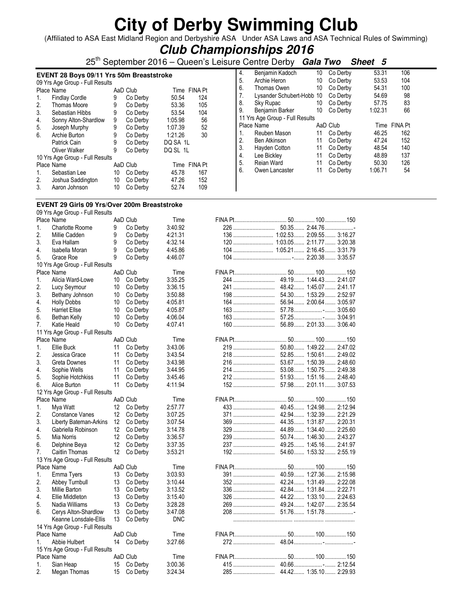(Affiliated to ASA East Midland Region and Derbyshire ASA Under ASA Laws and ASA Technical Rules of Swimming)

### **Club Championships 2016**

25th September 2016 – Queen's Leisure Centre Derby **Gala Two Sheet 5**

|    | <b>EVENT 28 Boys 09/11 Yrs 50m Breaststroke</b><br>09 Yrs Age Group - Full Results |    |          |              |     |  |  |  |  |  |
|----|------------------------------------------------------------------------------------|----|----------|--------------|-----|--|--|--|--|--|
|    | Place Name                                                                         |    | AaD Club | Time FINA Pt |     |  |  |  |  |  |
| 1. | <b>Findlay Cordle</b>                                                              | 9  | Co Derby | 50.54        | 124 |  |  |  |  |  |
| 2. | Thomas Moore                                                                       | 9  | Co Derby | 53.36        | 105 |  |  |  |  |  |
| 3. | Sebastian Hibbs                                                                    | 9  | Co Derby | 53.54        | 104 |  |  |  |  |  |
| 4. | Sonny Alton-Shardlow                                                               | 9  | Co Derby | 1:05.98      | 56  |  |  |  |  |  |
| 5. | Joseph Murphy                                                                      | 9  | Co Derby | 1:07.39      | 52  |  |  |  |  |  |
| 6. | Archie Burton                                                                      | 9  | Co Derby | 1:21.26      | 30  |  |  |  |  |  |
|    | Patrick Cain                                                                       | 9  | Co Derby | DQ SA 1L     |     |  |  |  |  |  |
|    | Oliver Walker                                                                      | 9  | Co Derby | DQ SL 1L     |     |  |  |  |  |  |
|    | 10 Yrs Age Group - Full Results                                                    |    |          |              |     |  |  |  |  |  |
|    | Place Name                                                                         |    | AaD Club | Time FINA Pt |     |  |  |  |  |  |
| 1. | Sebastian Lee                                                                      | 10 | Co Derby | 45.78        | 167 |  |  |  |  |  |
| 2. | Joshua Saddington                                                                  | 10 | Co Derby | 47.26        | 152 |  |  |  |  |  |
| 3. | Aaron Johnson                                                                      | 10 | Co Derby | 52.74        | 109 |  |  |  |  |  |

|    | e centre perpi                  |    | Gaia Two<br>oneel | IJ      |              |  |
|----|---------------------------------|----|-------------------|---------|--------------|--|
| 4. | Benjamin Kadoch                 | 10 | Co Derby          | 53.31   | 106          |  |
| 5. | Archie Heron                    | 10 | Co Derby          | 53.53   | 104          |  |
| 6. | Thomas Owen                     | 10 | Co Derby          | 54.31   | 100          |  |
| 7. | Lysander Schubert-Hobb 10       |    | Co Derby          | 54.69   | 98           |  |
| 8. | Sky Rupac                       | 10 | Co Derby          | 57.75   | 83           |  |
| 9. | Benjamin Barker                 | 10 | Co Derby          | 1:02.31 | 66           |  |
|    | 11 Yrs Age Group - Full Results |    |                   |         |              |  |
|    | Place Name                      |    | AaD Club          |         | Time FINA Pt |  |
| 1. | Reuben Mason                    | 11 | Co Derby          | 46.25   | 162          |  |
| 2. | <b>Ben Atkinson</b>             | 11 | Co Derby          | 47.24   | 152          |  |
| 3. | Hayden Cotton                   | 11 | Co Derby          | 48.54   | 140          |  |
| 4. | Lee Bickley                     | 11 | Co Derby          | 48.89   | 137          |  |
| 5. | Reian Ward                      | 11 | Co Derby          | 50.30   | 126          |  |
| 6. | Owen Lancaster                  | 11 | Co Derby          | 1:06.71 | 54           |  |
|    |                                 |    |                   |         |              |  |
|    |                                 |    |                   |         |              |  |
|    |                                 |    |                   |         |              |  |

### **EVENT 29 Girls 09 Yrs/Over 200m Breaststroke**

09 Yrs Age Group - Full Results

|    | Place Name                      |    | AaD Club    | Time       |     |                                |
|----|---------------------------------|----|-------------|------------|-----|--------------------------------|
| 1. | <b>Charlotte Roome</b>          | 9  | Co Derby    | 3:40.92    |     |                                |
| 2. | Millie Cadden                   | 9  | Co Derby    | 4:21.31    |     | 136  1:02.53  2:09.55  3:16.27 |
| 3. | Eva Hallam                      | 9  | Co Derby    | 4:32.14    |     | 120  1:03.05  2:11.77  3:20.38 |
| 4. | Isabella Moran                  | 9  | Co Derby    | 4:45.86    |     |                                |
| 5. | Grace Roe                       | 9  | Co Derby    | 4:46.07    |     |                                |
|    | 10 Yrs Age Group - Full Results |    |             |            |     |                                |
|    | Place Name                      |    | AaD Club    | Time       |     |                                |
| 1. | Alicia Ward-Lowe                | 10 | Co Derby    | 3:35.25    |     |                                |
| 2. | Lucy Seymour                    | 10 | Co Derby    | 3:36.15    | 241 | 48.42 1:45.07 2:41.17          |
| 3. | Bethany Johnson                 | 10 | Co Derby    | 3:50.88    |     | 54.30 1:53.29 2:52.97          |
| 4. | <b>Holly Dobbs</b>              | 10 | Co Derby    | 4:05.81    | 164 | 56.94  2:00.64  3:05.97        |
| 5. | <b>Harriet Ellse</b>            | 10 | Co Derby    | 4:05.87    | 163 | 57.78 -  3:05.60               |
| 6. | Bethan Kelly                    | 10 | Co Derby    | 4:06.04    | 163 | 57.25- 3:04.91                 |
| 7. | Katie Heald                     | 10 | Co Derby    | 4:07.41    | 160 | 56.89 2:01.33 3:06.40          |
|    | 11 Yrs Age Group - Full Results |    |             |            |     |                                |
|    | Place Name                      |    | AaD Club    | Time       |     |                                |
| 1. | Ellie Buck                      | 11 | Co Derby    | 3:43.06    | 219 | 50.80 1:49.22 2:47.02          |
| 2. | Jessica Grace                   | 11 | Co Derby    | 3:43.54    |     | 52.85 1:50.61 2:49.02          |
| 3. |                                 |    |             |            | 218 |                                |
|    | Greta Downes                    | 11 | Co Derby    | 3:43.98    | 216 | 53.67  1:50.39  2:48.60        |
| 4. | Sophie Wells                    | 11 | Co Derby    | 3:44.95    | 214 | 53.08 1:50.75 2:49.38          |
| 5. | Sophie Hotchkiss                | 11 | Co Derby    | 3:45.46    |     | 51.93 1:51.16 2:48.40          |
| 6. | Alice Burton                    | 11 | Co Derby    | 4:11.94    | 152 | 57.98 2:01.11 3:07.53          |
|    | 12 Yrs Age Group - Full Results |    |             |            |     |                                |
|    | Place Name                      |    | AaD Club    | Time       |     |                                |
| 1. | Mya Watt                        | 12 | Co Derby    | 2:57.77    |     | 40.45 1:24.98 2:12.94          |
| 2. | Constance Vanes                 | 12 | Co Derby    | 3:07.25    | 371 | 42.94  1:32.39  2:21.29        |
| 3. | Liberty Bateman-Arkins          | 12 | Co Derby    | 3:07.54    |     | 44.35 1:31.87 2:20.31          |
| 4. | Gabriella Robinson              | 12 | Co Derby    | 3:14.78    |     | 44.89 1:34.40 2:25.60          |
| 5. | Mia Norris                      | 12 | Co Derby    | 3:36.57    | 239 | 50.74  1:46.30  2:43.27        |
| 6. | Delphine Beya                   | 12 | Co Derby    | 3:37.35    | 237 | 49.25 1:45.16 2:41.97          |
| 7. | Caitlin Thomas                  | 12 | Co Derby    | 3:53.21    | 192 | 54.60  1:53.32  2:55.19        |
|    | 13 Yrs Age Group - Full Results |    |             |            |     |                                |
|    | Place Name                      |    | AaD Club    | Time       |     |                                |
| 1. | Emma Tyers                      | 13 | Co Derby    | 3:03.93    | 391 | 40.59 1:27.36 2:15.98          |
| 2. | Abbey Turnbull                  | 13 | Co Derby    | 3:10.44    |     |                                |
| 3. | Millie Barton                   | 13 | Co Derby    | 3:13.52    | 336 | 42.84  1:31.84  2:22.71        |
| 4. | Ellie Middleton                 | 13 | Co Derby    | 3:15.40    | 326 | 44.22 1:33.10 2:24.63          |
| 5. | Nadia Williams                  | 13 | Co Derby    | 3:28.28    |     |                                |
| 6. | Cerys Alton-Shardlow            | 13 | Co Derby    | 3:47.08    |     | 51.76 1:51.78                  |
|    | Keanne Lonsdale-Ellis           | 13 | Co Derby    | <b>DNC</b> |     |                                |
|    | 14 Yrs Age Group - Full Results |    |             |            |     |                                |
|    | Place Name                      |    | AaD Club    | Time       |     |                                |
| 1. | Abbie Hulbert                   |    | 14 Co Derby | 3:27.66    | 272 |                                |
|    | 15 Yrs Age Group - Full Results |    |             |            |     |                                |
|    | Place Name                      |    | AaD Club    | Time       |     |                                |
| 1. | Sian Heap                       | 15 | Co Derby    | 3:00.36    |     |                                |
| 2. | Megan Thomas                    | 15 | Co Derby    | 3:24.34    |     |                                |
|    |                                 |    |             |            |     |                                |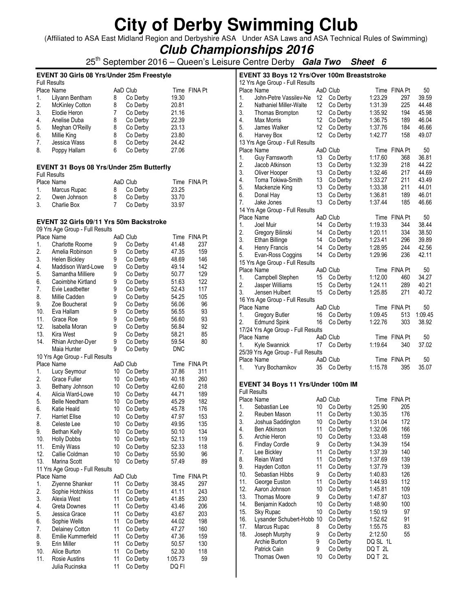(Affiliated to ASA East Midland Region and Derbyshire ASA Under ASA Laws and ASA Technical Rules of Swimming)

**Club Championships 2016**

25th September 2016 – Queen's Leisure Centre Derby **Gala Two Sheet 6**

 $\overline{\phantom{a}}$ 

### **EVENT 30 Girls 08 Yrs/Under 25m Freestyle**

|                        |                                   |          |          | Time FINA Pt |
|------------------------|-----------------------------------|----------|----------|--------------|
| Lilyann Bentham        | 8                                 | Co Derby | 19.30    |              |
| <b>McKinley Cotton</b> | 8                                 | Co Derby | 20.81    |              |
| Elodie Heron           | 7                                 | Co Derby | 21.16    |              |
| Anelise Duba           | 8                                 | Co Derby | 22.39    |              |
| Meghan O'Reilly        | 8                                 | Co Derby | 23.13    |              |
| Millie King            | 8                                 | Co Derby | 23.80    |              |
| Jessica Wass           | 8                                 | Co Derby | 24.42    |              |
| Poppy Hallam           | 6                                 | Co Derby | 27.06    |              |
|                        | <b>Full Results</b><br>Place Name |          | AaD Club |              |

### **EVENT 31 Boys 08 Yrs/Under 25m Butterfly**  Full Results

| i uli N <del>o</del> sullo |              |          |       |              |
|----------------------------|--------------|----------|-------|--------------|
|                            | Place Name   | AaD Club |       | Time FINA Pt |
| $1_{\cdot}$                | Marcus Rupac | Co Derby | 23.25 |              |
| 2.                         | Owen Johnson | Co Derby | 33.70 |              |
| 3.                         | Charlie Box  | Co Derby | 33.97 |              |

### **EVENT 32 Girls 09/11 Yrs 50m Backstroke**  09 Yrs Age Group - Full Results

|     | Place Name                      |    | AaD Club |            | Time FINA Pt   |
|-----|---------------------------------|----|----------|------------|----------------|
| 1.  | <b>Charlotte Roome</b>          | 9  | Co Derby | 41.48      | 237            |
| 2.  | Amelia Robinson                 | 9  | Co Derby | 47.35      | 159            |
| 3.  | Helen Bickley                   | 9  | Co Derby | 48.69      | 146            |
| 4.  | Maddison Ward-Lowe              | 9  | Co Derby | 49.14      | 142            |
| 5.  | Samantha Milliere               | 9  | Co Derby | 50.77      | 129            |
| 6.  | Caoimbhe Kirtland               | 9  | Co Derby | 51.63      | 122            |
| 7.  | Evie Leadbetter                 | 9  | Co Derby | 52.43      | 117            |
| 8.  | Millie Cadden                   | 9  | Co Derby | 54.25      | 105            |
| 9.  | Zoe Boucherat                   | 9  | Co Derby | 56.06      | 96             |
| 10. | Eva Hallam                      | 9  | Co Derby | 56.55      | 93             |
| 11. | Grace Roe                       | 9  | Co Derby | 56.60      | 93             |
| 12. | Isabella Moran                  | 9  | Co Derby | 56.84      | 92             |
| 13. | Kira West                       | 9  | Co Derby | 58.21      | 85             |
| 14. | Rhian Archer-Dyer               | 9  | Co Derby | 59.54      | 80             |
|     | Maia Hunter                     | 9  | Co Derby | <b>DNC</b> |                |
|     | 10 Yrs Age Group - Full Results |    |          |            |                |
|     | Place Name                      |    | AaD Club | Time       | <b>FINA Pt</b> |
| 1.  | Lucy Seymour                    | 10 | Co Derby | 37.86      | 311            |
| 2.  | Grace Fuller                    | 10 | Co Derby | 40.18      | 260            |
| 3.  | Bethany Johnson                 | 10 | Co Derby | 42.60      | 218            |
| 4.  | Alicia Ward-Lowe                | 10 | Co Derby | 44.71      | 189            |
| 5.  | <b>Belle Needham</b>            | 10 | Co Derby | 45.29      | 182            |
| 6.  | Katie Heald                     | 10 | Co Derby | 45.78      | 176            |
| 7.  | <b>Harriet Ellse</b>            | 10 | Co Derby | 47.97      | 153            |
| 8.  | Celeste Lee                     | 10 | Co Derby | 49.95      | 135            |
| 9.  | <b>Bethan Kelly</b>             | 10 | Co Derby | 50.10      | 134            |
| 10. | <b>Holly Dobbs</b>              | 10 | Co Derby | 52.13      | 119            |
| 11. | <b>Emily Wass</b>               | 10 | Co Derby | 52.33      | 118            |
| 12. | Callie Coldman                  | 10 | Co Derby | 55.90      | 96             |
| 13. | Marina Scott                    | 10 | Co Derby | 57.49      | 89             |
|     | 11 Yrs Age Group - Full Results |    |          |            |                |
|     | Place Name                      |    | AaD Club | Time       | <b>FINA Pt</b> |
| 1.  | Ziyenne Shanker                 | 11 | Co Derby | 38.45      | 297            |
| 2.  | Sophie Hotchkiss                | 11 | Co Derby | 41.11      | 243            |
| 3.  | Alexia West                     | 11 | Co Derby | 41.85      | 230            |
| 4.  | Greta Downes                    | 11 | Co Derby | 43.46      | 206            |
| 5.  | Jessica Grace                   | 11 | Co Derby | 43.67      | 203            |
| 6.  | Sophie Wells                    | 11 | Co Derby | 44.02      | 198            |
| 7.  | Delainey Cotton                 | 11 | Co Derby | 47.27      | 160            |
| 8.  | Emilie Kummerfeld               | 11 | Co Derby | 47.36      | 159            |
| 9.  | Erin Miller                     | 11 | Co Derby | 50.57      | 130            |
| 10. | Alice Burton                    | 11 | Co Derby | 52.30      | 118            |
| 11. | Rosie Austins                   | 11 | Co Derby | 1:05.73    | 59             |
|     | Julia Rucinska                  | 11 | Co Derby | DQ FI      |                |

|                     | EVENT 33 Boys 12 Yrs/Over 100m Breaststroke |                 |                      |                    |              |                |
|---------------------|---------------------------------------------|-----------------|----------------------|--------------------|--------------|----------------|
|                     | 12 Yrs Age Group - Full Results             |                 |                      |                    |              |                |
|                     | Place Name                                  |                 | AaD Club             |                    | Time FINA Pt | 50             |
| 1.                  | John-Petre Vassilev-Ne                      | 12 <sup>°</sup> | Co Derby             | 1:23.29            | 297          | 39.59          |
| 2.                  | Nathaniel Miller-Walte                      | 12              | Co Derby             | 1:31.39            | 225          | 44.48          |
| 3.                  | Thomas Brompton                             | 12              | Co Derby             | 1:35.92            | 194          | 45.98          |
| 4.                  | Max Morris                                  | 12              | Co Derby             | 1:36.75            | 189          | 46.04          |
| 5.                  | James Walker                                | 12              | Co Derby             | 1:37.76            | 184          | 46.66          |
| 6.                  | Harvey Box                                  | 12              | Co Derby             | 1:42.77            | 158          | 49.07          |
|                     | 13 Yrs Age Group - Full Results             |                 |                      |                    |              |                |
|                     | Place Name                                  |                 | AaD Club             |                    | Time FINA Pt | 50             |
| 1.                  | Guy Farnsworth                              | 13              | Co Derby             | 1:17.60            | 368          | 36.81          |
| 2.<br>3.            | Jacob Atkinson                              | 13<br>13        | Co Derby<br>Co Derby | 1:32.39<br>1:32.46 | 218<br>217   | 44.22<br>44.69 |
| 4.                  | Oliver Hooper<br>Toma Tokiwa-Smith          | 13              |                      | 1:33.27            | 211          | 43.49          |
| 5.                  | Mackenzie King                              | 13              | Co Derby<br>Co Derby | 1:33.38            | 211          | 44.01          |
| 6.                  | Donal Hay                                   | 13              | Co Derby             | 1:36.81            | 189          | 46.01          |
| 7.                  | Jake Jones                                  | 13              | Co Derby             | 1:37.44            | 185          | 46.66          |
|                     | 14 Yrs Age Group - Full Results             |                 |                      |                    |              |                |
|                     | Place Name                                  |                 | AaD Club             |                    | Time FINA Pt | 50             |
| 1.                  | Joel Muir                                   | 14              | Co Derby             | 1:19.33            | 344          | 38.44          |
| 2.                  | Gregory Bilinski                            | 14              | Co Derby             | 1:20.11            | 334          | 38.50          |
| 3.                  | Ethan Billinge                              | 14              | Co Derby             | 1:23.41            | 296          | 39.89          |
| 4.                  | Henry Francis                               | 14              | Co Derby             | 1:28.95            | 244          | 42.56          |
| 5.                  | Evan-Ross Coggins                           | 14              | Co Derby             | 1:29.96            | 236          | 42.11          |
|                     | 15 Yrs Age Group - Full Results             |                 |                      |                    |              |                |
|                     | Place Name                                  |                 | AaD Club             |                    | Time FINA Pt | 50             |
| 1.                  | Campbell Stephen                            | 15              | Co Derby             | 1:12.00            | 460          | 34.27          |
| 2.                  | Jasper Williams                             | 15              | Co Derby             | 1:24.11            | 289          | 40.21          |
| 3.                  | Jensen Hulbert                              | 15              | Co Derby             | 1:25.85            | 271          | 40.72          |
|                     | 16 Yrs Age Group - Full Results             |                 |                      |                    |              |                |
|                     | Place Name                                  |                 | AaD Club             |                    | Time FINA Pt | 50             |
| 1.                  | Gregory Butler                              | 16              | Co Derby             | 1:09.45            | 513          | 1:09.45        |
| 2.                  | <b>Edmund Spink</b>                         | 16              | Co Derby             | 1:22.76            | 303          | 38.92          |
|                     | 17/24 Yrs Age Group - Full Results          |                 |                      |                    |              |                |
|                     | Place Name                                  |                 | AaD Club             |                    | Time FINA Pt | 50             |
| 1.                  | Kyle Swannick                               | 17              | Co Derby             | 1:19.64            | 340          | 37.02          |
|                     | 25/39 Yrs Age Group - Full Results          |                 |                      |                    |              |                |
|                     | Place Name                                  |                 | AaD Club             |                    | Time FINA Pt | 50             |
| 1.                  | Yury Bocharnikov                            | 35              | Co Derby             | 1:15.78            | 395          | 35.07          |
|                     | EVENT 34 Boys 11 Yrs/Under 100m IM          |                 |                      |                    |              |                |
| <b>Full Results</b> |                                             |                 |                      |                    |              |                |
|                     | Place Name                                  |                 | AaD Club             |                    | Time FINA Pt |                |
| 1.                  | Sebastian Lee                               | 10              | Co Derby             | 1:25.90            | 205          |                |
| 2.                  | Reuben Mason                                | 11              | Co Derby             | 1:30.35            | 176          |                |
| 3.                  | Joshua Saddington                           | 10              | Co Derby             | 1:31.04            | 172          |                |
| 4.                  | Ben Atkinson                                | 11              | Co Derby             | 1:32.06            | 166          |                |
| 5.                  | Archie Heron                                | 10              | Co Derby             | 1:33.48            | 159          |                |
| 6.                  | <b>Findlay Cordle</b>                       | 9               | Co Derby             | 1:34.39            | 154          |                |
| 7.                  | Lee Bickley                                 | 11              | Co Derby             | 1:37.39            | 140          |                |
| 8.                  | Reian Ward                                  | 11              | Co Derby             | 1:37.69            | 139          |                |
| 9.                  | Hayden Cotton                               | 11              | Co Derby             | 1:37.79            | 139          |                |
| 10.                 | Sebastian Hibbs                             | 9               | Co Derby             | 1:40.83            | 126          |                |
| 11.                 | George Euston                               | 11              | Co Derby             | 1:44.93            | 112          |                |
| 12.                 | Aaron Johnson                               | 10              | Co Derby             | 1:45.81            | 109          |                |
| 13.                 | Thomas Moore                                | 9               | Co Derby             | 1:47.87            | 103          |                |
| 14.                 | Benjamin Kadoch                             | 10              | Co Derby             | 1:48.90            | 100          |                |
| 15.                 | Sky Rupac                                   | 10              | Co Derby             | 1:50.19            | 97           |                |
| 16.                 | Lysander Schubert-Hobb 10                   |                 | Co Derby             | 1:52.62            | 91           |                |
| 17.                 | Marcus Rupac                                | 8               | Co Derby             | 1:55.75            | 83           |                |
| 18.                 | Joseph Murphy                               | 9               | Co Derby             | 2:12.50            | 55           |                |
|                     | Archie Burton                               | 9               | Co Derby             | DQ SL 1L           |              |                |
|                     | Patrick Cain                                | 9               | Co Derby             | DQ T 2L            |              |                |
|                     | Thomas Owen                                 | 10              | Co Derby             | DQ T 2L            |              |                |
|                     |                                             |                 |                      |                    |              |                |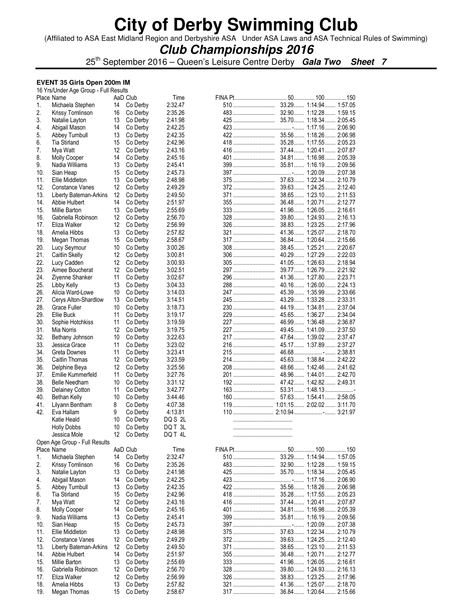(Affiliated to ASA East Midland Region and Derbyshire ASA Under ASA Laws and ASA Technical Rules of Swimming)

## **Club Championships 2016**

25th September 2016 – Queen's Leisure Centre Derby **Gala Two Sheet 7**

#### **EVENT 35 Girls Open 200m IM**  16  $V_{\text{ref}}$ Under Age  $\Omega$

|     | 16 Yrs/Under Age Group - Full Results |    |          |         |            |                         |
|-----|---------------------------------------|----|----------|---------|------------|-------------------------|
|     | Place Name                            |    | AaD Club | Time    |            |                         |
| 1.  | Michaela Stephen                      | 14 | Co Derby | 2:32.47 |            |                         |
| 2.  | Krissy Tomlinson                      | 16 | Co Derby | 2:35.26 |            |                         |
| 3.  | Natalie Layton                        | 13 | Co Derby | 2:41.98 |            |                         |
| 4.  | Abigail Mason                         | 14 | Co Derby | 2:42.25 |            |                         |
| 5.  | Abbey Turnbull                        | 13 | Co Derby | 2:42.35 |            |                         |
| 6.  | Tia Stirland                          | 15 | Co Derby | 2:42.96 |            |                         |
| 7.  | Mya Watt                              | 12 | Co Derby | 2:43.16 |            |                         |
| 8.  | <b>Molly Cooper</b>                   | 14 | Co Derby | 2:45.16 |            |                         |
| 9.  | Nadia Williams                        | 13 | Co Derby | 2:45.41 | 399        | 35.81 1:16.19 2:09.56   |
| 10. | Sian Heap                             | 15 | Co Derby | 2:45.73 |            |                         |
| 11. | Ellie Middleton                       | 13 | Co Derby | 2:48.98 |            |                         |
| 12. |                                       |    |          |         |            | 39.63 1:24.25 2:12.40   |
|     | Constance Vanes                       | 12 | Co Derby | 2:49.29 |            |                         |
| 13. | Liberty Bateman-Arkins                | 12 | Co Derby | 2:49.50 | 371        | 38.65 1:23.10 2:11.53   |
| 14. | Abbie Hulbert                         | 14 | Co Derby | 2:51.97 | 355        | 36.48 1:20.71 2:12.77   |
| 15. | Millie Barton                         | 13 | Co Derby | 2:55.69 |            | 41.96 1:26.05 2:16.61   |
| 16. | Gabriella Robinson                    | 12 | Co Derby | 2:56.70 |            | 39.80 1:24.93 2:16.13   |
| 17. | Eliza Walker                          | 12 | Co Derby | 2:56.99 |            | 38.83 1:23.25 2:17.96   |
| 18. | Amelia Hibbs                          | 13 | Co Derby | 2:57.82 | 321        | 41.36 1:25.07 2:18.70   |
| 19. | Megan Thomas                          | 15 | Co Derby | 2:58.67 |            | 36.84 1:20.64 2:15.66   |
| 20. | Lucy Seymour                          | 10 | Co Derby | 3:00.26 | 308        | 38.45 1:25.21 2:20.67   |
| 21. | Caitlin Skelly                        | 12 | Co Derby | 3:00.81 |            | 40.29 1:27.29 2:22.03   |
| 22. | Lucy Cadden                           | 12 |          |         | 305        |                         |
|     |                                       |    | Co Derby | 3:00.93 |            | 41.05 1:26.63 2:18.94   |
| 23. | Aimee Boucherat                       | 12 | Co Derby | 3:02.51 | 297        | 39.77  1:26.79  2:21.92 |
| 24. | Ziyenne Shanker                       | 11 | Co Derby | 3:02.67 | 296        | 41.36 1:27.80 2:23.71   |
| 25. | Libby Kelly                           | 13 | Co Derby | 3:04.33 | 288        | 40.16 1:26.00 2:24.13   |
| 26. | Alicia Ward-Lowe                      | 10 | Co Derby | 3:14.03 | 247        | 45.39 1:35.99 2:33.66   |
| 27. | Cerys Alton-Shardlow                  | 13 | Co Derby | 3:14.51 | 245        | 43.29 1:33.28 2:33.31   |
| 28. | Grace Fuller                          | 10 | Co Derby | 3:18.73 | 230        | 44.19 1:34.81 2:37.04   |
| 29. | Ellie Buck                            | 11 | Co Derby | 3:19.17 |            | 45.65 1:36.27  2:34.04  |
| 30. | Sophie Hotchkiss                      | 11 | Co Derby | 3:19.59 |            | 46.99 1:36.48 2:36.87   |
|     |                                       | 12 |          |         | 227        | 49.45 1:41.09 2:37.50   |
| 31. | Mia Norris                            |    | Co Derby | 3:19.75 |            |                         |
| 32. | Bethany Johnson                       | 10 | Co Derby | 3:22.63 |            | 47.64 1:39.02 2:37.47   |
| 33. | Jessica Grace                         | 11 | Co Derby | 3:23.02 | 216        | 45.17  1:37.89  2:37.27 |
| 34. | Greta Downes                          | 11 | Co Derby | 3:23.41 | 215        |                         |
| 35. | Caitlin Thomas                        | 12 | Co Derby | 3:23.59 |            | 45.63 1:38.84 2:42.22   |
| 36. | Delphine Beya                         | 12 | Co Derby | 3:25.56 | 208        | 48.66 1:42.46 2:41.62   |
| 37. | Emilie Kummerfeld                     | 11 | Co Derby | 3:27.76 |            | 48.96 1:44.01 2:42.70   |
| 38. | Belle Needham                         | 10 | Co Derby | 3:31.12 |            |                         |
| 39. | Delainey Cotton                       | 11 | Co Derby | 3:42.77 |            |                         |
| 40. |                                       |    |          |         |            |                         |
|     | Bethan Kelly                          | 10 | Co Derby | 3:44.46 |            |                         |
| 41. | Lilyann Bentham                       | 8  | Co Derby | 4:07.38 |            |                         |
| 42. | Eva Hallam                            | 9  | Co Derby | 4:13.81 |            |                         |
|     | Katie Heald                           | 10 | Co Derby | DQ S 2L |            |                         |
|     | <b>Holly Dobbs</b>                    | 10 | Co Derby | DQ T 3L |            |                         |
|     | Jessica Mole                          | 12 | Co Derby | DO T 41 |            |                         |
|     | Open Age Group - Full Results         |    |          |         |            |                         |
|     | Place Name                            |    | AaD Club | Time    |            |                         |
| 1.  | Michaela Stephen                      | 14 | Co Derby | 2:32.47 | 510        | 33.29 1:14.94 1:57.05   |
| 2.  | Krissy Tomlinson                      |    |          |         |            |                         |
|     |                                       | 16 | Co Derby | 2:35.26 |            |                         |
| 3.  | Natalie Layton                        | 13 | Co Derby | 2:41.98 |            |                         |
| 4.  | Abigail Mason                         | 14 | Co Derby | 2:42.25 |            |                         |
| 5.  | Abbey Turnbull                        | 13 | Co Derby | 2:42.35 |            | 35.56 1:18.26 2:06.98   |
| 6.  | <b>Tia Stirland</b>                   | 15 | Co Derby | 2:42.96 |            |                         |
| 7.  | Mya Watt                              | 12 | Co Derby | 2:43.16 |            |                         |
| 8.  | Molly Cooper                          | 14 | Co Derby | 2:45.16 |            |                         |
| 9.  | Nadia Williams                        | 13 | Co Derby | 2:45.41 | 399        | 35.81 1:16.19 2:09.56   |
|     |                                       |    |          |         |            |                         |
| 10. | Sian Heap                             | 15 | Co Derby | 2:45.73 |            |                         |
| 11. | Ellie Middleton                       | 13 | Co Derby | 2:48.98 |            |                         |
| 12. | Constance Vanes                       | 12 | Co Derby | 2:49.29 | <b>372</b> | 39.63 1:24.25 2:12.40   |
| 13. | Liberty Bateman-Arkins                | 12 | Co Derby | 2:49.50 | 371        | 38.65 1:23.10 2:11.53   |
| 14. | Abbie Hulbert                         | 14 | Co Derby | 2:51.97 | <b>355</b> | 36.48 1:20.71 2:12.77   |
| 15. | Millie Barton                         | 13 | Co Derby | 2:55.69 |            | 41.96 1:26.05 2:16.61   |
| 16. | Gabriella Robinson                    | 12 | Co Derby | 2:56.70 | 328        | 39.80 1:24.93 2:16.13   |
| 17. | Eliza Walker                          | 12 | Co Derby | 2:56.99 | 326        | 38.83 1:23.25 2:17.96   |
| 18. |                                       |    |          |         |            |                         |
|     | Amelia Hibbs                          | 13 | Co Derby | 2:57.82 |            | 41.36 1:25.07 2:18.70   |
| 19. | Megan Thomas                          | 15 | Co Derby | 2:58.67 |            |                         |